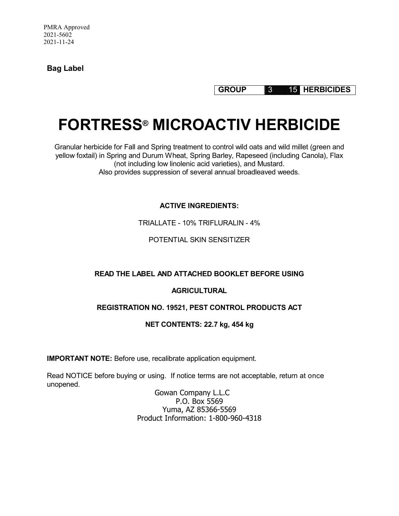**Bag Label**

**GROUP** 3 15 **HERBICIDES**

## **FORTRESS® MICROACTIV HERBICIDE**

Granular herbicide for Fall and Spring treatment to control wild oats and wild millet (green and yellow foxtail) in Spring and Durum Wheat, Spring Barley, Rapeseed (including Canola), Flax (not including low linolenic acid varieties), and Mustard. Also provides suppression of several annual broadleaved weeds.

**ACTIVE INGREDIENTS:** 

TRIALLATE - 10% TRIFLURALIN - 4%

POTENTIAL SKIN SENSITIZER

## **READ THE LABEL AND ATTACHED BOOKLET BEFORE USING**

## **AGRICULTURAL**

## **REGISTRATION NO. 19521, PEST CONTROL PRODUCTS ACT**

## **NET CONTENTS: 22.7 kg, 454 kg**

**IMPORTANT NOTE:** Before use, recalibrate application equipment.

Read NOTICE before buying or using. If notice terms are not acceptable, return at once unopened.

> Gowan Company L.L.C P.O. Box 5569 Yuma, AZ 85366-5569 Product Information: 1-800-960-4318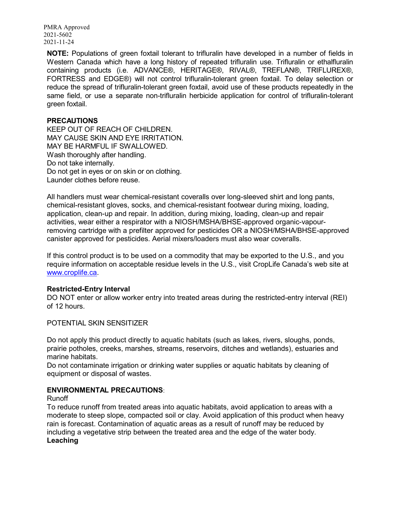**NOTE:** Populations of green foxtail tolerant to trifluralin have developed in a number of fields in Western Canada which have a long history of repeated trifluralin use. Trifluralin or ethalfluralin containing products (i.e. ADVANCE®, HERITAGE®, RIVAL®, TREFLAN®, TRIFLUREX®, FORTRESS and EDGE®) will not control trifluralin-tolerant green foxtail. To delay selection or reduce the spread of trifluralin-tolerant green foxtail, avoid use of these products repeatedly in the same field, or use a separate non-trifluralin herbicide application for control of trifluralin-tolerant green foxtail.

#### **PRECAUTIONS**

KEEP OUT OF REACH OF CHILDREN. MAY CAUSE SKIN AND EYE IRRITATION. MAY BE HARMFUL IF SWALLOWED. Wash thoroughly after handling. Do not take internally. Do not get in eyes or on skin or on clothing. Launder clothes before reuse.

All handlers must wear chemical-resistant coveralls over long-sleeved shirt and long pants, chemical-resistant gloves, socks, and chemical-resistant footwear during mixing, loading, application, clean-up and repair. In addition, during mixing, loading, clean-up and repair activities, wear either a respirator with a NIOSH/MSHA/BHSE-approved organic-vapourremoving cartridge with a prefilter approved for pesticides OR a NIOSH/MSHA/BHSE-approved canister approved for pesticides. Aerial mixers/loaders must also wear coveralls.

If this control product is to be used on a commodity that may be exported to the U.S., and you require information on acceptable residue levels in the U.S., visit CropLife Canada's web site at www.croplife.ca.

#### **Restricted-Entry Interval**

DO NOT enter or allow worker entry into treated areas during the restricted-entry interval (REI) of 12 hours.

POTENTIAL SKIN SENSITIZER

Do not apply this product directly to aquatic habitats (such as lakes, rivers, sloughs, ponds, prairie potholes, creeks, marshes, streams, reservoirs, ditches and wetlands), estuaries and marine habitats.

Do not contaminate irrigation or drinking water supplies or aquatic habitats by cleaning of equipment or disposal of wastes.

#### **ENVIRONMENTAL PRECAUTIONS**:

Runoff

To reduce runoff from treated areas into aquatic habitats, avoid application to areas with a moderate to steep slope, compacted soil or clay. Avoid application of this product when heavy rain is forecast. Contamination of aquatic areas as a result of runoff may be reduced by including a vegetative strip between the treated area and the edge of the water body. **Leaching**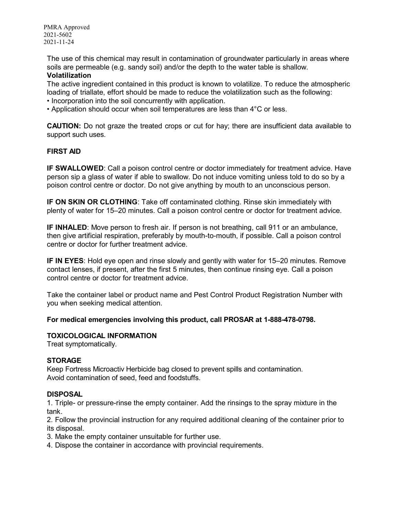The use of this chemical may result in contamination of groundwater particularly in areas where soils are permeable (e.g. sandy soil) and/or the depth to the water table is shallow. **Volatilization**

The active ingredient contained in this product is known to volatilize. To reduce the atmospheric loading of triallate, effort should be made to reduce the volatilization such as the following:

- Incorporation into the soil concurrently with application.
- Application should occur when soil temperatures are less than 4°C or less.

**CAUTION:** Do not graze the treated crops or cut for hay; there are insufficient data available to support such uses.

## **FIRST AID**

**IF SWALLOWED:** Call a poison control centre or doctor immediately for treatment advice. Have person sip a glass of water if able to swallow. Do not induce vomiting unless told to do so by a poison control centre or doctor. Do not give anything by mouth to an unconscious person.

**IF ON SKIN OR CLOTHING**: Take off contaminated clothing. Rinse skin immediately with plenty of water for 15–20 minutes. Call a poison control centre or doctor for treatment advice.

**IF INHALED**: Move person to fresh air. If person is not breathing, call 911 or an ambulance, then give artificial respiration, preferably by mouth-to-mouth, if possible. Call a poison control centre or doctor for further treatment advice.

**IF IN EYES**: Hold eye open and rinse slowly and gently with water for 15–20 minutes. Remove contact lenses, if present, after the first 5 minutes, then continue rinsing eye. Call a poison control centre or doctor for treatment advice.

Take the container label or product name and Pest Control Product Registration Number with you when seeking medical attention.

**For medical emergencies involving this product, call PROSAR at 1-888-478-0798.** 

#### **TOXICOLOGICAL INFORMATION**

Treat symptomatically.

#### **STORAGE**

Keep Fortress Microactiv Herbicide bag closed to prevent spills and contamination. Avoid contamination of seed, feed and foodstuffs.

## **DISPOSAL**

1. Triple- or pressure-rinse the empty container. Add the rinsings to the spray mixture in the tank.

2. Follow the provincial instruction for any required additional cleaning of the container prior to its disposal.

- 3. Make the empty container unsuitable for further use.
- 4. Dispose the container in accordance with provincial requirements.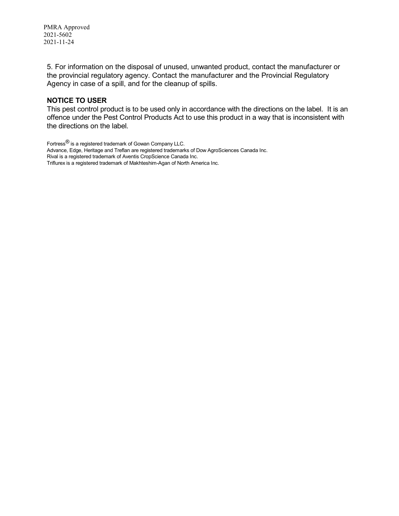5. For information on the disposal of unused, unwanted product, contact the manufacturer or the provincial regulatory agency. Contact the manufacturer and the Provincial Regulatory Agency in case of a spill, and for the cleanup of spills.

## **NOTICE TO USER**

This pest control product is to be used only in accordance with the directions on the label. It is an offence under the Pest Control Products Act to use this product in a way that is inconsistent with the directions on the label.

Fortress® is a registered trademark of Gowan Company LLC. Advance, Edge, Heritage and Treflan are registered trademarks of Dow AgroSciences Canada Inc. Rival is a registered trademark of Aventis CropScience Canada Inc. Triflurex is a registered trademark of Makhteshim-Agan of North America Inc.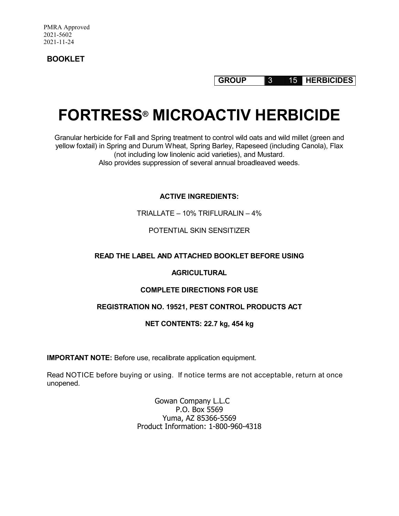**BOOKLET**

**GROUP** 3 15 **HERBICIDES**

# **FORTRESS® MICROACTIV HERBICIDE**

Granular herbicide for Fall and Spring treatment to control wild oats and wild millet (green and yellow foxtail) in Spring and Durum Wheat, Spring Barley, Rapeseed (including Canola), Flax (not including low linolenic acid varieties), and Mustard. Also provides suppression of several annual broadleaved weeds.

## **ACTIVE INGREDIENTS:**

TRIALLATE – 10% TRIFLURALIN – 4%

## POTENTIAL SKIN SENSITIZER

## **READ THE LABEL AND ATTACHED BOOKLET BEFORE USING**

## **AGRICULTURAL**

## **COMPLETE DIRECTIONS FOR USE**

## **REGISTRATION NO. 19521, PEST CONTROL PRODUCTS ACT**

## **NET CONTENTS: 22.7 kg, 454 kg**

**IMPORTANT NOTE:** Before use, recalibrate application equipment.

Read NOTICE before buying or using. If notice terms are not acceptable, return at once unopened.

> Gowan Company L.L.C P.O. Box 5569 Yuma, AZ 85366-5569 Product Information: 1-800-960-4318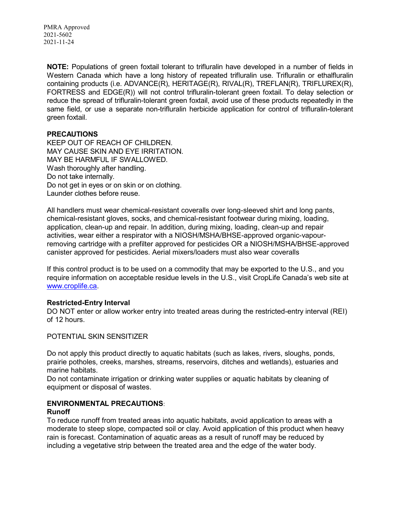**NOTE:** Populations of green foxtail tolerant to trifluralin have developed in a number of fields in Western Canada which have a long history of repeated trifluralin use. Trifluralin or ethalfluralin containing products (i.e. ADVANCE(R), HERITAGE(R), RIVAL(R), TREFLAN(R), TRIFLUREX(R), FORTRESS and EDGE(R)) will not control trifluralin-tolerant green foxtail. To delay selection or reduce the spread of trifluralin-tolerant green foxtail, avoid use of these products repeatedly in the same field, or use a separate non-trifluralin herbicide application for control of trifluralin-tolerant green foxtail.

## **PRECAUTIONS**

KEEP OUT OF REACH OF CHILDREN. MAY CAUSE SKIN AND EYE IRRITATION. MAY BE HARMFUL IF SWALLOWED. Wash thoroughly after handling. Do not take internally. Do not get in eyes or on skin or on clothing. Launder clothes before reuse.

All handlers must wear chemical-resistant coveralls over long-sleeved shirt and long pants, chemical-resistant gloves, socks, and chemical-resistant footwear during mixing, loading, application, clean-up and repair. In addition, during mixing, loading, clean-up and repair activities, wear either a respirator with a NIOSH/MSHA/BHSE-approved organic-vapourremoving cartridge with a prefilter approved for pesticides OR a NIOSH/MSHA/BHSE-approved canister approved for pesticides. Aerial mixers/loaders must also wear coveralls

If this control product is to be used on a commodity that may be exported to the U.S., and you require information on acceptable residue levels in the U.S., visit CropLife Canada's web site at www.croplife.ca.

## **Restricted-Entry Interval**

DO NOT enter or allow worker entry into treated areas during the restricted-entry interval (REI) of 12 hours.

#### POTENTIAL SKIN SENSITIZER

Do not apply this product directly to aquatic habitats (such as lakes, rivers, sloughs, ponds, prairie potholes, creeks, marshes, streams, reservoirs, ditches and wetlands), estuaries and marine habitats.

Do not contaminate irrigation or drinking water supplies or aquatic habitats by cleaning of equipment or disposal of wastes.

## **ENVIRONMENTAL PRECAUTIONS**:

#### **Runoff**

To reduce runoff from treated areas into aquatic habitats, avoid application to areas with a moderate to steep slope, compacted soil or clay. Avoid application of this product when heavy rain is forecast. Contamination of aquatic areas as a result of runoff may be reduced by including a vegetative strip between the treated area and the edge of the water body.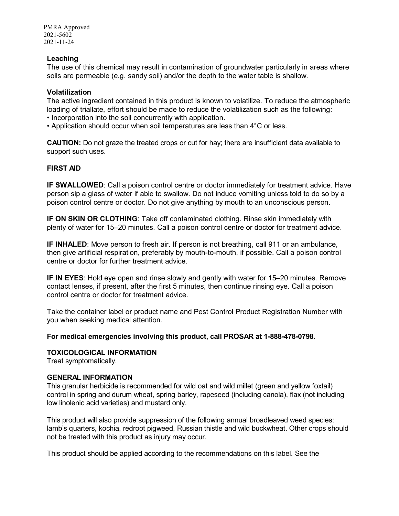#### **Leaching**

The use of this chemical may result in contamination of groundwater particularly in areas where soils are permeable (e.g. sandy soil) and/or the depth to the water table is shallow.

#### **Volatilization**

The active ingredient contained in this product is known to volatilize. To reduce the atmospheric loading of triallate, effort should be made to reduce the volatilization such as the following:

- Incorporation into the soil concurrently with application.
- Application should occur when soil temperatures are less than 4°C or less.

**CAUTION:** Do not graze the treated crops or cut for hay; there are insufficient data available to support such uses.

#### **FIRST AID**

**IF SWALLOWED:** Call a poison control centre or doctor immediately for treatment advice. Have person sip a glass of water if able to swallow. Do not induce vomiting unless told to do so by a poison control centre or doctor. Do not give anything by mouth to an unconscious person.

**IF ON SKIN OR CLOTHING**: Take off contaminated clothing. Rinse skin immediately with plenty of water for 15–20 minutes. Call a poison control centre or doctor for treatment advice.

**IF INHALED**: Move person to fresh air. If person is not breathing, call 911 or an ambulance, then give artificial respiration, preferably by mouth-to-mouth, if possible. Call a poison control centre or doctor for further treatment advice.

**IF IN EYES**: Hold eye open and rinse slowly and gently with water for 15–20 minutes. Remove contact lenses, if present, after the first 5 minutes, then continue rinsing eye. Call a poison control centre or doctor for treatment advice.

Take the container label or product name and Pest Control Product Registration Number with you when seeking medical attention.

#### **For medical emergencies involving this product, call PROSAR at 1-888-478-0798.**

## **TOXICOLOGICAL INFORMATION**

Treat symptomatically.

#### **GENERAL INFORMATION**

This granular herbicide is recommended for wild oat and wild millet (green and yellow foxtail) control in spring and durum wheat, spring barley, rapeseed (including canola), flax (not including low linolenic acid varieties) and mustard only.

This product will also provide suppression of the following annual broadleaved weed species: lamb's quarters, kochia, redroot pigweed, Russian thistle and wild buckwheat. Other crops should not be treated with this product as injury may occur.

This product should be applied according to the recommendations on this label. See the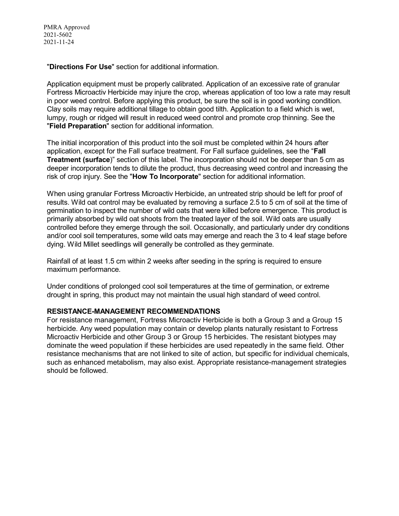"**Directions For Use**" section for additional information.

Application equipment must be properly calibrated. Application of an excessive rate of granular Fortress Microactiv Herbicide may injure the crop, whereas application of too low a rate may result in poor weed control. Before applying this product, be sure the soil is in good working condition. Clay soils may require additional tillage to obtain good tilth. Application to a field which is wet, lumpy, rough or ridged will result in reduced weed control and promote crop thinning. See the "**Field Preparation**" section for additional information.

The initial incorporation of this product into the soil must be completed within 24 hours after application, except for the Fall surface treatment. For Fall surface guidelines, see the "**Fall Treatment (surface**)" section of this label. The incorporation should not be deeper than 5 cm as deeper incorporation tends to dilute the product, thus decreasing weed control and increasing the risk of crop injury. See the "**How To Incorporate**" section for additional information.

When using granular Fortress Microactiv Herbicide, an untreated strip should be left for proof of results. Wild oat control may be evaluated by removing a surface 2.5 to 5 cm of soil at the time of germination to inspect the number of wild oats that were killed before emergence. This product is primarily absorbed by wild oat shoots from the treated layer of the soil. Wild oats are usually controlled before they emerge through the soil. Occasionally, and particularly under dry conditions and/or cool soil temperatures, some wild oats may emerge and reach the 3 to 4 leaf stage before dying. Wild Millet seedlings will generally be controlled as they germinate.

Rainfall of at least 1.5 cm within 2 weeks after seeding in the spring is required to ensure maximum performance.

Under conditions of prolonged cool soil temperatures at the time of germination, or extreme drought in spring, this product may not maintain the usual high standard of weed control.

## **RESISTANCE-MANAGEMENT RECOMMENDATIONS**

For resistance management, Fortress Microactiv Herbicide is both a Group 3 and a Group 15 herbicide. Any weed population may contain or develop plants naturally resistant to Fortress Microactiv Herbicide and other Group 3 or Group 15 herbicides. The resistant biotypes may dominate the weed population if these herbicides are used repeatedly in the same field. Other resistance mechanisms that are not linked to site of action, but specific for individual chemicals, such as enhanced metabolism, may also exist. Appropriate resistance-management strategies should be followed.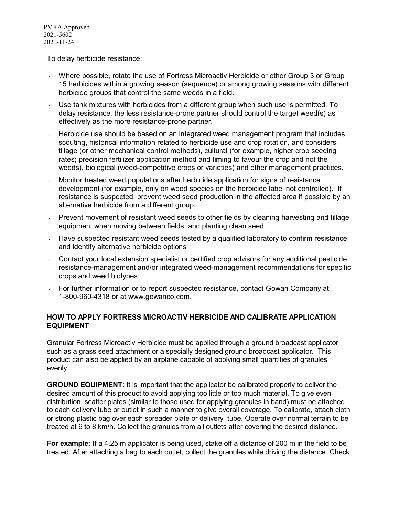To delay herbicide resistance:

- Where possible, rotate the use of Fortress Microactiv Herbicide or other Group 3 or Group 15 herbicides within a growing season (sequence) or among growing seasons with different herbicide groups that control the same weeds in a field.
- Use tank mixtures with herbicides from a different group when such use is permitted. To delay resistance, the less resistance-prone partner should control the target weed(s) as effectively as the more resistance-prone partner.
- Herbicide use should be based on an integrated weed management program that includes scouting, historical information related to herbicide use and crop rotation, and considers tillage (or other mechanical control methods), cultural (for example, higher crop seeding rates; precision fertilizer application method and timing to favour the crop and not the weeds), biological (weed-competitive crops or varieties) and other management practices.
- Monitor treated weed populations after herbicide application for signs of resistance development (for example, only on weed species on the herbicide label not controlled). If resistance is suspected, prevent weed seed production in the affected area if possible by an alternative herbicide from a different group.
- Prevent movement of resistant weed seeds to other fields by cleaning harvesting and tillage equipment when moving between fields, and planting clean seed.
- $\cdot$  Have suspected resistant weed seeds tested by a qualified laboratory to confirm resistance and identify alternative herbicide options
- Contact your local extension specialist or certified crop advisors for any additional pesticide resistance-management and/or integrated weed-management recommendations for specific crops and weed biotypes.
- For further information or to report suspected resistance, contact Gowan Company at 1-800-960-4318 or at www.gowanco.com.

## **HOW TO APPLY FORTRESS MICROACTIV HERBICIDE AND CALIBRATE APPLICATION EQUIPMENT**

Granular Fortress Microactiv Herbicide must be applied through a ground broadcast applicator such as a grass seed attachment or a specially designed ground broadcast applicator. This product can also be applied by an airplane capable of applying small quantities of granules evenly.

**GROUND EQUIPMENT:** It is important that the applicator be calibrated properly to deliver the desired amount of this product to avoid applying too little or too much material. To give even distribution, scatter plates (similar to those used for applying granules in band) must be attached to each delivery tube or outlet in such a manner to give overall coverage. To calibrate, attach cloth or strong plastic bag over each spreader plate or delivery tube. Operate over normal terrain to be treated at 6 to 8 km/h. Collect the granules from all outlets after covering the desired distance.

**For example:** If a 4.25 m applicator is being used, stake off a distance of 200 m in the field to be treated. After attaching a bag to each outlet, collect the granules while driving the distance. Check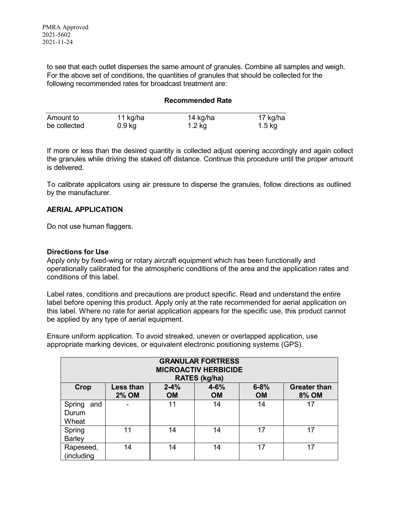to see that each outlet disperses the same amount of granules. Combine all samples and weigh. For the above set of conditions, the quantities of granules that should be collected for the following recommended rates for broadcast treatment are:

#### **Recommended Rate**

| Amount to    | 11 kg/ha | 14 kg/ha | 17 kg/ha |
|--------------|----------|----------|----------|
| be collected | $0.9$ kg | $1.2$ kg | $1.5$ kg |

If more or less than the desired quantity is collected adjust opening accordingly and again collect the granules while driving the staked off distance. Continue this procedure until the proper amount is delivered.

To calibrate applicators using air pressure to disperse the granules, follow directions as outlined by the manufacturer.

#### **AERIAL APPLICATION**

Do not use human flaggers.

#### **Directions for Use**

Apply only by fixed-wing or rotary aircraft equipment which has been functionally and operationally calibrated for the atmospheric conditions of the area and the application rates and conditions of this label.

Label rates, conditions and precautions are product specific. Read and understand the entire label before opening this product. Apply only at the rate recommended for aerial application on this label. Where no rate for aerial application appears for the specific use, this product cannot be applied by any type of aerial equipment.

Ensure uniform application. To avoid streaked, uneven or overlapped application, use appropriate marking devices, or equivalent electronic positioning systems (GPS).

| <b>GRANULAR FORTRESS</b><br><b>MICROACTIV HERBICIDE</b><br>RATES (kg/ha) |                                                                                                                                                    |    |    |    |    |  |  |  |
|--------------------------------------------------------------------------|----------------------------------------------------------------------------------------------------------------------------------------------------|----|----|----|----|--|--|--|
| Crop                                                                     | $6 - 8%$<br><b>Less than</b><br>$2 - 4%$<br>$4 - 6%$<br><b>Greater than</b><br><b>2% OM</b><br><b>OM</b><br><b>8% OM</b><br><b>OM</b><br><b>OM</b> |    |    |    |    |  |  |  |
| Spring<br>and<br>Durum<br>Wheat                                          |                                                                                                                                                    | 11 | 14 | 14 | 17 |  |  |  |
| Spring<br><b>Barley</b>                                                  | 11                                                                                                                                                 | 14 | 14 | 17 | 17 |  |  |  |
| Rapeseed,<br>(including                                                  | 14                                                                                                                                                 | 14 | 14 | 17 | 17 |  |  |  |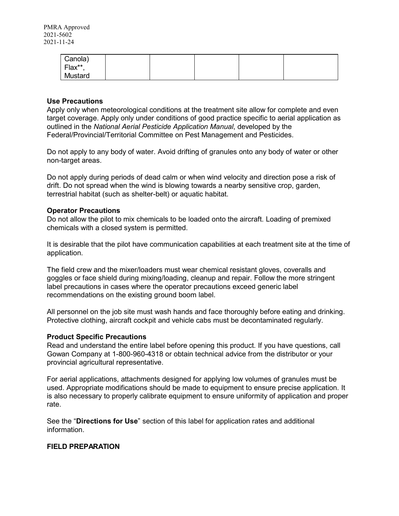| Canola) |  |  |  |
|---------|--|--|--|
| Flax**  |  |  |  |
| Mustard |  |  |  |

#### **Use Precautions**

Apply only when meteorological conditions at the treatment site allow for complete and even target coverage. Apply only under conditions of good practice specific to aerial application as outlined in the *National Aerial Pesticide Application Manual*, developed by the Federal/Provincial/Territorial Committee on Pest Management and Pesticides.

Do not apply to any body of water. Avoid drifting of granules onto any body of water or other non-target areas.

Do not apply during periods of dead calm or when wind velocity and direction pose a risk of drift. Do not spread when the wind is blowing towards a nearby sensitive crop, garden, terrestrial habitat (such as shelter-belt) or aquatic habitat.

#### **Operator Precautions**

Do not allow the pilot to mix chemicals to be loaded onto the aircraft. Loading of premixed chemicals with a closed system is permitted.

It is desirable that the pilot have communication capabilities at each treatment site at the time of application.

The field crew and the mixer/loaders must wear chemical resistant gloves, coveralls and goggles or face shield during mixing/loading, cleanup and repair. Follow the more stringent label precautions in cases where the operator precautions exceed generic label recommendations on the existing ground boom label.

All personnel on the job site must wash hands and face thoroughly before eating and drinking. Protective clothing, aircraft cockpit and vehicle cabs must be decontaminated regularly.

#### **Product Specific Precautions**

Read and understand the entire label before opening this product. If you have questions, call Gowan Company at 1-800-960-4318 or obtain technical advice from the distributor or your provincial agricultural representative.

For aerial applications, attachments designed for applying low volumes of granules must be used. Appropriate modifications should be made to equipment to ensure precise application. It is also necessary to properly calibrate equipment to ensure uniformity of application and proper rate.

See the "**Directions for Use**" section of this label for application rates and additional information.

## **FIELD PREPARATION**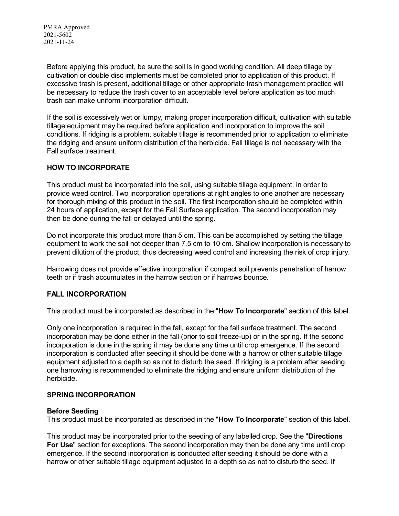Before applying this product, be sure the soil is in good working condition. All deep tillage by cultivation or double disc implements must be completed prior to application of this product. If excessive trash is present, additional tillage or other appropriate trash management practice will be necessary to reduce the trash cover to an acceptable level before application as too much trash can make uniform incorporation difficult.

If the soil is excessively wet or lumpy, making proper incorporation difficult, cultivation with suitable tillage equipment may be required before application and incorporation to improve the soil conditions. If ridging is a problem, suitable tillage is recommended prior to application to eliminate the ridging and ensure uniform distribution of the herbicide. Fall tillage is not necessary with the Fall surface treatment.

## **HOW TO INCORPORATE**

This product must be incorporated into the soil, using suitable tillage equipment, in order to provide weed control. Two incorporation operations at right angles to one another are necessary for thorough mixing of this product in the soil. The first incorporation should be completed within 24 hours of application, except for the Fall Surface application. The second incorporation may then be done during the fall or delayed until the spring.

Do not incorporate this product more than 5 cm. This can be accomplished by setting the tillage equipment to work the soil not deeper than 7.5 cm to 10 cm. Shallow incorporation is necessary to prevent dilution of the product, thus decreasing weed control and increasing the risk of crop injury.

Harrowing does not provide effective incorporation if compact soil prevents penetration of harrow teeth or if trash accumulates in the harrow section or if harrows bounce.

## **FALL INCORPORATION**

This product must be incorporated as described in the "**How To Incorporate**" section of this label.

Only one incorporation is required in the fall, except for the fall surface treatment. The second incorporation may be done either in the fall (prior to soil freeze-up) or in the spring. If the second incorporation is done in the spring it may be done any time until crop emergence. If the second incorporation is conducted after seeding it should be done with a harrow or other suitable tillage equipment adjusted to a depth so as not to disturb the seed. If ridging is a problem after seeding, one harrowing is recommended to eliminate the ridging and ensure uniform distribution of the herbicide.

## **SPRING INCORPORATION**

#### **Before Seeding**

This product must be incorporated as described in the "**How To Incorporate**" section of this label.

This product may be incorporated prior to the seeding of any labelled crop. See the "**Directions For Use**" section for exceptions. The second incorporation may then be done any time until crop emergence. If the second incorporation is conducted after seeding it should be done with a harrow or other suitable tillage equipment adjusted to a depth so as not to disturb the seed. If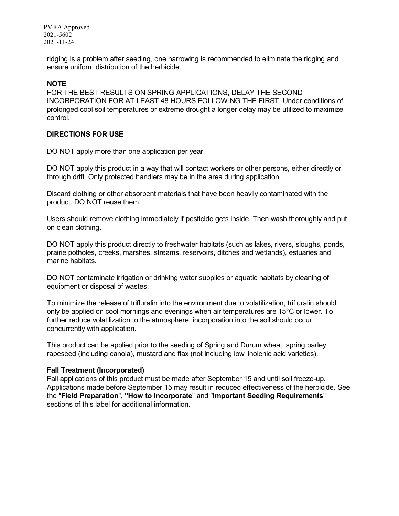ridging is a problem after seeding, one harrowing is recommended to eliminate the ridging and ensure uniform distribution of the herbicide.

## **NOTE**

FOR THE BEST RESULTS ON SPRING APPLICATIONS, DELAY THE SECOND INCORPORATION FOR AT LEAST 48 HOURS FOLLOWING THE FIRST. Under conditions of prolonged cool soil temperatures or extreme drought a longer delay may be utilized to maximize control.

#### **DIRECTIONS FOR USE**

DO NOT apply more than one application per year.

DO NOT apply this product in a way that will contact workers or other persons, either directly or through drift. Only protected handlers may be in the area during application.

Discard clothing or other absorbent materials that have been heavily contaminated with the product. DO NOT reuse them.

Users should remove clothing immediately if pesticide gets inside. Then wash thoroughly and put on clean clothing.

DO NOT apply this product directly to freshwater habitats (such as lakes, rivers, sloughs, ponds, prairie potholes, creeks, marshes, streams, reservoirs, ditches and wetlands), estuaries and marine habitats.

DO NOT contaminate irrigation or drinking water supplies or aquatic habitats by cleaning of equipment or disposal of wastes.

To minimize the release of trifluralin into the environment due to volatilization, trifluralin should only be applied on cool mornings and evenings when air temperatures are 15°C or lower. To further reduce volatilization to the atmosphere, incorporation into the soil should occur concurrently with application.

This product can be applied prior to the seeding of Spring and Durum wheat, spring barley, rapeseed (including canola), mustard and flax (not including low linolenic acid varieties).

#### **Fall Treatment (Incorporated)**

Fall applications of this product must be made after September 15 and until soil freeze-up. Applications made before September 15 may result in reduced effectiveness of the herbicide. See the "**Field Preparation**", **"How to Incorporate**" and "**Important Seeding Requirements**" sections of this label for additional information.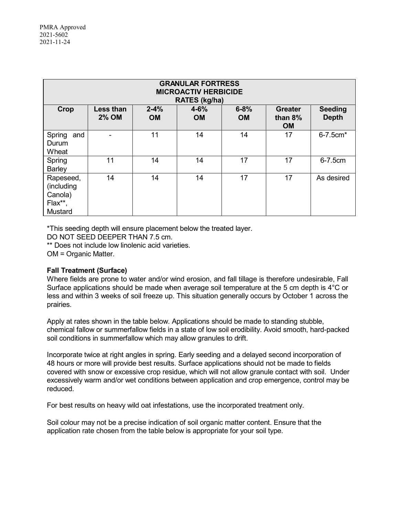| <b>GRANULAR FORTRESS</b><br><b>MICROACTIV HERBICIDE</b><br>RATES (kg/ha) |                                  |                       |                       |                       |                                           |                                |  |
|--------------------------------------------------------------------------|----------------------------------|-----------------------|-----------------------|-----------------------|-------------------------------------------|--------------------------------|--|
| Crop                                                                     | <b>Less than</b><br><b>2% OM</b> | $2 - 4%$<br><b>OM</b> | $4 - 6%$<br><b>OM</b> | $6 - 8%$<br><b>OM</b> | <b>Greater</b><br>than $8\%$<br><b>OM</b> | <b>Seeding</b><br><b>Depth</b> |  |
| Spring<br>and<br>Durum<br>Wheat                                          |                                  | 11                    | 14                    | 14                    | 17                                        | 6-7.5cm*                       |  |
| Spring<br><b>Barley</b>                                                  | 11                               | 14                    | 14                    | 17                    | 17                                        | 6-7.5cm                        |  |
| Rapeseed,<br>(including<br>Canola)<br>Flax**,<br>Mustard                 | 14                               | 14                    | 14                    | 17                    | 17                                        | As desired                     |  |

\*This seeding depth will ensure placement below the treated layer.

DO NOT SEED DEEPER THAN 7.5 cm.

\*\* Does not include low linolenic acid varieties.

OM = Organic Matter.

## **Fall Treatment (Surface)**

Where fields are prone to water and/or wind erosion, and fall tillage is therefore undesirable, Fall Surface applications should be made when average soil temperature at the 5 cm depth is 4°C or less and within 3 weeks of soil freeze up. This situation generally occurs by October 1 across the prairies.

Apply at rates shown in the table below. Applications should be made to standing stubble, chemical fallow or summerfallow fields in a state of low soil erodibility. Avoid smooth, hard-packed soil conditions in summerfallow which may allow granules to drift.

Incorporate twice at right angles in spring. Early seeding and a delayed second incorporation of 48 hours or more will provide best results. Surface applications should not be made to fields covered with snow or excessive crop residue, which will not allow granule contact with soil. Under excessively warm and/or wet conditions between application and crop emergence, control may be reduced.

For best results on heavy wild oat infestations, use the incorporated treatment only.

Soil colour may not be a precise indication of soil organic matter content. Ensure that the application rate chosen from the table below is appropriate for your soil type.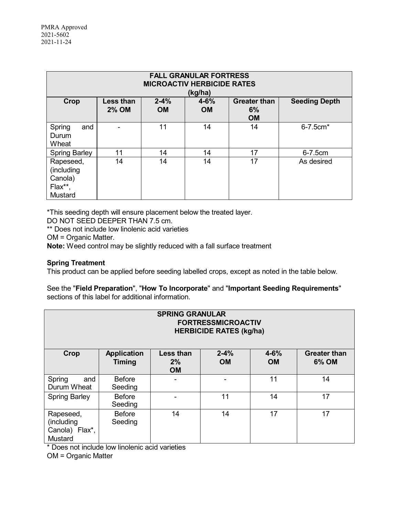| <b>FALL GRANULAR FORTRESS</b><br><b>MICROACTIV HERBICIDE RATES</b><br>(kg/ha) |                                                                                                                                                      |    |    |    |            |  |  |  |
|-------------------------------------------------------------------------------|------------------------------------------------------------------------------------------------------------------------------------------------------|----|----|----|------------|--|--|--|
| Crop                                                                          | <b>Less than</b><br>$2 - 4%$<br><b>Greater than</b><br><b>Seeding Depth</b><br>$4 - 6%$<br><b>2% OM</b><br>6%<br><b>OM</b><br><b>OM</b><br><b>OM</b> |    |    |    |            |  |  |  |
| Spring<br>and<br>Durum<br>Wheat                                               |                                                                                                                                                      | 11 | 14 | 14 | 6-7.5cm*   |  |  |  |
| <b>Spring Barley</b>                                                          | 11                                                                                                                                                   | 14 | 14 | 17 | 6-7.5cm    |  |  |  |
| Rapeseed,<br>(including<br>Canola)<br>Flax**,<br>Mustard                      | 14                                                                                                                                                   | 14 | 14 | 17 | As desired |  |  |  |

\*This seeding depth will ensure placement below the treated layer.

DO NOT SEED DEEPER THAN 7.5 cm.

\*\* Does not include low linolenic acid varieties

OM = Organic Matter.

**Note:** Weed control may be slightly reduced with a fall surface treatment

## **Spring Treatment**

This product can be applied before seeding labelled crops, except as noted in the table below.

## See the "**Field Preparation**", "**How To Incorporate**" and "**Important Seeding Requirements**" sections of this label for additional information.

| <b>SPRING GRANULAR</b><br><b>FORTRESSMICROACTIV</b><br><b>HERBICIDE RATES (kg/ha)</b> |                                     |                                     |                       |                       |                              |  |  |
|---------------------------------------------------------------------------------------|-------------------------------------|-------------------------------------|-----------------------|-----------------------|------------------------------|--|--|
| Crop                                                                                  | <b>Application</b><br><b>Timing</b> | <b>Less than</b><br>2%<br><b>OM</b> | $2 - 4%$<br><b>OM</b> | $4 - 6%$<br><b>OM</b> | <b>Greater than</b><br>6% OM |  |  |
| Spring<br>and<br>Durum Wheat                                                          | <b>Before</b><br>Seeding            |                                     |                       | 11                    | 14                           |  |  |
| <b>Spring Barley</b>                                                                  | <b>Before</b><br>Seeding            |                                     | 11                    | 14                    | 17                           |  |  |
| Rapeseed,<br>(including<br>Canola) Flax*,<br>Mustard                                  | <b>Before</b><br>Seeding            | 14                                  | 14                    | 17                    | 17                           |  |  |

\* Does not include low linolenic acid varieties

OM = Organic Matter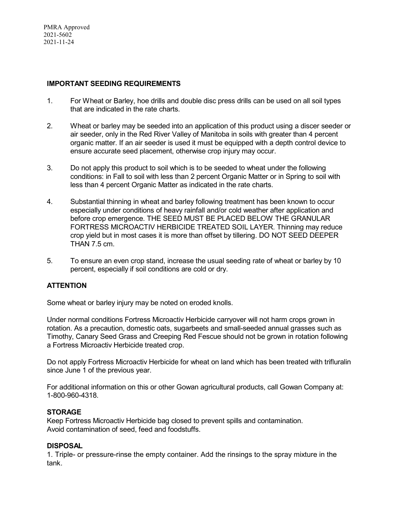## **IMPORTANT SEEDING REQUIREMENTS**

- 1. For Wheat or Barley, hoe drills and double disc press drills can be used on all soil types that are indicated in the rate charts.
- 2. Wheat or barley may be seeded into an application of this product using a discer seeder or air seeder, only in the Red River Valley of Manitoba in soils with greater than 4 percent organic matter. If an air seeder is used it must be equipped with a depth control device to ensure accurate seed placement, otherwise crop injury may occur.
- 3. Do not apply this product to soil which is to be seeded to wheat under the following conditions: in Fall to soil with less than 2 percent Organic Matter or in Spring to soil with less than 4 percent Organic Matter as indicated in the rate charts.
- 4. Substantial thinning in wheat and barley following treatment has been known to occur especially under conditions of heavy rainfall and/or cold weather after application and before crop emergence. THE SEED MUST BE PLACED BELOW THE GRANULAR FORTRESS MICROACTIV HERBICIDE TREATED SOIL LAYER. Thinning may reduce crop yield but in most cases it is more than offset by tillering. DO NOT SEED DEEPER THAN 7.5 cm.
- 5. To ensure an even crop stand, increase the usual seeding rate of wheat or barley by 10 percent, especially if soil conditions are cold or dry.

## **ATTENTION**

Some wheat or barley injury may be noted on eroded knolls.

Under normal conditions Fortress Microactiv Herbicide carryover will not harm crops grown in rotation. As a precaution, domestic oats, sugarbeets and small-seeded annual grasses such as Timothy, Canary Seed Grass and Creeping Red Fescue should not be grown in rotation following a Fortress Microactiv Herbicide treated crop.

Do not apply Fortress Microactiv Herbicide for wheat on land which has been treated with trifluralin since June 1 of the previous year.

For additional information on this or other Gowan agricultural products, call Gowan Company at: 1-800-960-4318.

## **STORAGE**

Keep Fortress Microactiv Herbicide bag closed to prevent spills and contamination. Avoid contamination of seed, feed and foodstuffs.

## **DISPOSAL**

1. Triple- or pressure-rinse the empty container. Add the rinsings to the spray mixture in the tank.